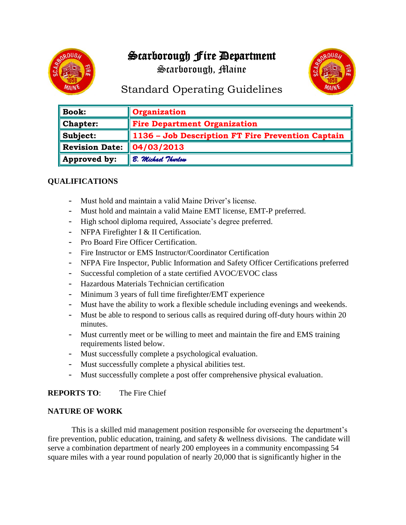# Scarborough Fire Department

Scarborough, Maine



## Standard Operating Guidelines

| <b>Book:</b>                    | <b>Organization</b>                               |
|---------------------------------|---------------------------------------------------|
| <b>Chapter:</b>                 | <b>Fire Department Organization</b>               |
| Subject:                        | 1136 - Job Description FT Fire Prevention Captain |
| Revision Date: $\ 04/03/2013\ $ |                                                   |
| Approved by:                    | B. Michael Thurlow                                |

## **QUALIFICATIONS**

- Must hold and maintain a valid Maine Driver's license.
- Must hold and maintain a valid Maine EMT license, EMT-P preferred.
- High school diploma required, Associate's degree preferred.
- NFPA Firefighter I & II Certification.
- Pro Board Fire Officer Certification.
- Fire Instructor or EMS Instructor/Coordinator Certification
- NFPA Fire Inspector, Public Information and Safety Officer Certifications preferred
- Successful completion of a state certified AVOC/EVOC class
- Hazardous Materials Technician certification
- Minimum 3 years of full time firefighter/EMT experience
- Must have the ability to work a flexible schedule including evenings and weekends.
- Must be able to respond to serious calls as required during off-duty hours within 20 minutes.
- Must currently meet or be willing to meet and maintain the fire and EMS training requirements listed below.
- Must successfully complete a psychological evaluation.
- Must successfully complete a physical abilities test.
- Must successfully complete a post offer comprehensive physical evaluation.

## **REPORTS TO**: The Fire Chief

#### **NATURE OF WORK**

This is a skilled mid management position responsible for overseeing the department's fire prevention, public education, training, and safety & wellness divisions. The candidate will serve a combination department of nearly 200 employees in a community encompassing 54 square miles with a year round population of nearly 20,000 that is significantly higher in the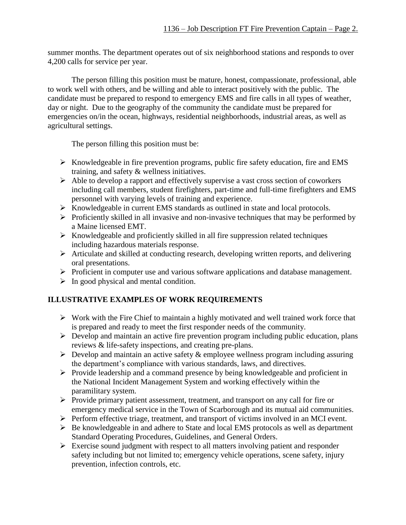summer months. The department operates out of six neighborhood stations and responds to over 4,200 calls for service per year.

The person filling this position must be mature, honest, compassionate, professional, able to work well with others, and be willing and able to interact positively with the public. The candidate must be prepared to respond to emergency EMS and fire calls in all types of weather, day or night. Due to the geography of the community the candidate must be prepared for emergencies on/in the ocean, highways, residential neighborhoods, industrial areas, as well as agricultural settings.

The person filling this position must be:

- ➢ Knowledgeable in fire prevention programs, public fire safety education, fire and EMS training, and safety & wellness initiatives.
- ➢ Able to develop a rapport and effectively supervise a vast cross section of coworkers including call members, student firefighters, part-time and full-time firefighters and EMS personnel with varying levels of training and experience.
- ➢ Knowledgeable in current EMS standards as outlined in state and local protocols.
- ➢ Proficiently skilled in all invasive and non-invasive techniques that may be performed by a Maine licensed EMT.
- ➢ Knowledgeable and proficiently skilled in all fire suppression related techniques including hazardous materials response.
- ➢ Articulate and skilled at conducting research, developing written reports, and delivering oral presentations.
- ➢ Proficient in computer use and various software applications and database management.
- $\triangleright$  In good physical and mental condition.

## **ILLUSTRATIVE EXAMPLES OF WORK REQUIREMENTS**

- ➢ Work with the Fire Chief to maintain a highly motivated and well trained work force that is prepared and ready to meet the first responder needs of the community.
- ➢ Develop and maintain an active fire prevention program including public education, plans reviews & life-safety inspections, and creating pre-plans.
- $\triangleright$  Develop and maintain an active safety  $\&$  employee wellness program including assuring the department's compliance with various standards, laws, and directives.
- ➢ Provide leadership and a command presence by being knowledgeable and proficient in the National Incident Management System and working effectively within the paramilitary system.
- ➢ Provide primary patient assessment, treatment, and transport on any call for fire or emergency medical service in the Town of Scarborough and its mutual aid communities.
- ➢ Perform effective triage, treatment, and transport of victims involved in an MCI event.
- ➢ Be knowledgeable in and adhere to State and local EMS protocols as well as department Standard Operating Procedures, Guidelines, and General Orders.
- ➢ Exercise sound judgment with respect to all matters involving patient and responder safety including but not limited to; emergency vehicle operations, scene safety, injury prevention, infection controls, etc.